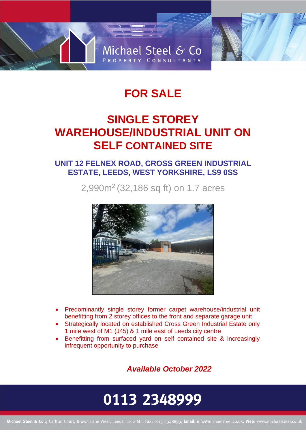

# **FOR SALE**

## **SINGLE STOREY WAREHOUSE/INDUSTRIAL UNIT ON SELF CONTAINED SITE**

### **UNIT 12 FELNEX ROAD, CROSS GREEN INDUSTRIAL ESTATE, LEEDS, WEST YORKSHIRE, LS9 0SS**

2,990m<sup>2</sup> (32,186 sq ft) on 1.7 acres



- Predominantly single storey former carpet warehouse/industrial unit benefitting from 2 storey offices to the front and separate garage unit
- Strategically located on established Cross Green Industrial Estate only 1 mile west of M1 (J45) & 1 mile east of Leeds city centre
- Benefitting from surfaced yard on self contained site & increasingly infrequent opportunity to purchase

*Available October 2022*

# 0113 2348999